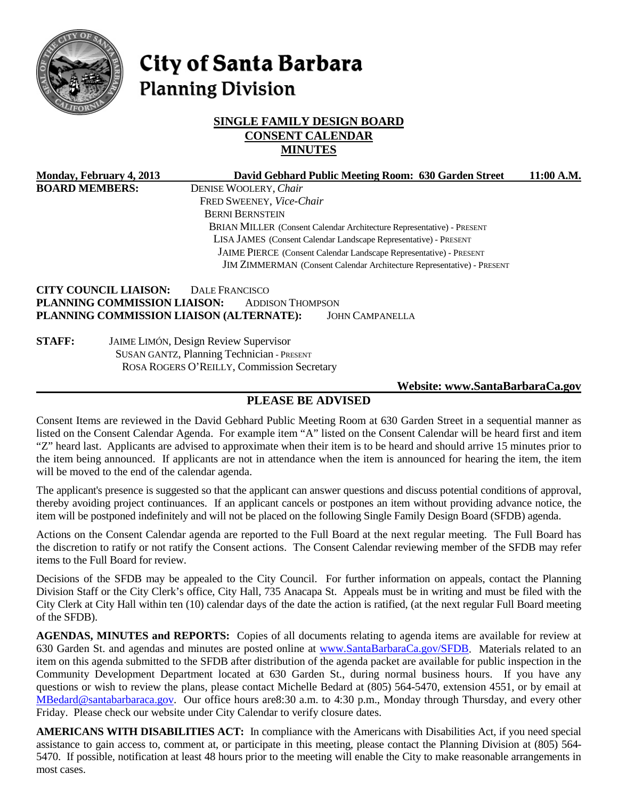

# City of Santa Barbara **Planning Division**

## **SINGLE FAMILY DESIGN BOARD CONSENT CALENDAR MINUTES**

| Monday, February 4, 2013                                     | David Gebhard Public Meeting Room: 630 Garden Street                                                                                            | 11:00 A.M. |
|--------------------------------------------------------------|-------------------------------------------------------------------------------------------------------------------------------------------------|------------|
| <b>BOARD MEMBERS:</b>                                        | DENISE WOOLERY, Chair                                                                                                                           |            |
|                                                              | FRED SWEENEY, Vice-Chair                                                                                                                        |            |
|                                                              | <b>BERNI BERNSTEIN</b>                                                                                                                          |            |
|                                                              | BRIAN MILLER (Consent Calendar Architecture Representative) - PRESENT                                                                           |            |
|                                                              | LISA JAMES (Consent Calendar Landscape Representative) - PRESENT                                                                                |            |
|                                                              | JAIME PIERCE (Consent Calendar Landscape Representative) - PRESENT                                                                              |            |
|                                                              | JIM ZIMMERMAN (Consent Calendar Architecture Representative) - PRESENT                                                                          |            |
| <b>CITY COUNCIL LIAISON:</b><br>PLANNING COMMISSION LIAISON: | <b>DALE FRANCISCO</b><br><b>ADDISON THOMPSON</b><br>PLANNING COMMISSION LIAISON (ALTERNATE):<br><b>JOHN CAMPANELLA</b>                          |            |
| <b>STAFF:</b>                                                | <b>JAIME LIMÓN, Design Review Supervisor</b><br><b>SUSAN GANTZ, Planning Technician - PRESENT</b><br>ROSA ROGERS O'REILLY, Commission Secretary |            |

#### **Website: [www.SantaBarbaraCa.gov](http://www.santabarbaraca.gov/)**

## **PLEASE BE ADVISED**

Consent Items are reviewed in the David Gebhard Public Meeting Room at 630 Garden Street in a sequential manner as listed on the Consent Calendar Agenda. For example item "A" listed on the Consent Calendar will be heard first and item "Z" heard last. Applicants are advised to approximate when their item is to be heard and should arrive 15 minutes prior to the item being announced. If applicants are not in attendance when the item is announced for hearing the item, the item will be moved to the end of the calendar agenda.

The applicant's presence is suggested so that the applicant can answer questions and discuss potential conditions of approval, thereby avoiding project continuances. If an applicant cancels or postpones an item without providing advance notice, the item will be postponed indefinitely and will not be placed on the following Single Family Design Board (SFDB) agenda.

Actions on the Consent Calendar agenda are reported to the Full Board at the next regular meeting. The Full Board has the discretion to ratify or not ratify the Consent actions. The Consent Calendar reviewing member of the SFDB may refer items to the Full Board for review.

Decisions of the SFDB may be appealed to the City Council. For further information on appeals, contact the Planning Division Staff or the City Clerk's office, City Hall, 735 Anacapa St. Appeals must be in writing and must be filed with the City Clerk at City Hall within ten (10) calendar days of the date the action is ratified, (at the next regular Full Board meeting of the SFDB).

**AGENDAS, MINUTES and REPORTS:** Copies of all documents relating to agenda items are available for review at 630 Garden St. and agendas and minutes are posted online at www.SantaBarbaraCa.gov/SFDB. Materials related to an item on this agenda submitted to the SFDB after distribution of the agenda packet are available for public inspection in the Community Development Department located at 630 Garden St., during normal business hours. If you have any questions or wish to review the plans, please contact Michelle Bedard at (805) 564-5470, extension 4551, or by email at [MBedard@santabarbaraca.gov.](mailto:MBedard@santabarbaraca.gov) Our office hours are8:30 a.m. to 4:30 p.m., Monday through Thursday, and every other Friday. Please check our website under City Calendar to verify closure dates.

**AMERICANS WITH DISABILITIES ACT:** In compliance with the Americans with Disabilities Act, if you need special assistance to gain access to, comment at, or participate in this meeting, please contact the Planning Division at (805) 564- 5470. If possible, notification at least 48 hours prior to the meeting will enable the City to make reasonable arrangements in most cases.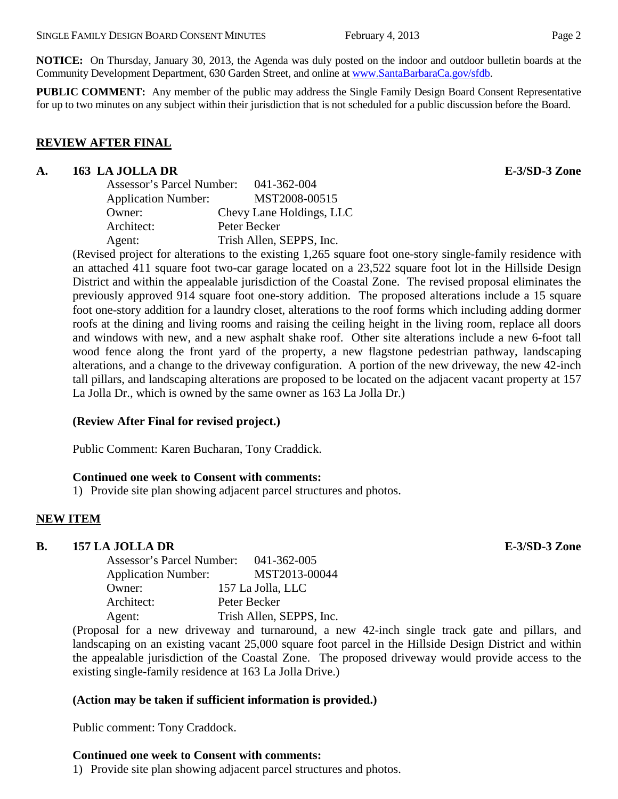**NOTICE:** On Thursday, January 30, 2013, the Agenda was duly posted on the indoor and outdoor bulletin boards at the Community Development Department, 630 Garden Street, and online at [www.SantaBarbaraCa.gov/sfdb.](http://www.santabarbaraca.gov/sfdb)

**PUBLIC COMMENT:** Any member of the public may address the Single Family Design Board Consent Representative for up to two minutes on any subject within their jurisdiction that is not scheduled for a public discussion before the Board.

#### **REVIEW AFTER FINAL**

#### **A. 163 LA JOLLA DR E-3/SD-3 Zone**

| Assessor's Parcel Number:  | 041-362-004              |
|----------------------------|--------------------------|
| <b>Application Number:</b> | MST2008-00515            |
| Owner:                     | Chevy Lane Holdings, LLC |
| Architect:                 | Peter Becker             |
| Agent:                     | Trish Allen, SEPPS, Inc. |

(Revised project for alterations to the existing 1,265 square foot one-story single-family residence with an attached 411 square foot two-car garage located on a 23,522 square foot lot in the Hillside Design District and within the appealable jurisdiction of the Coastal Zone. The revised proposal eliminates the previously approved 914 square foot one-story addition. The proposed alterations include a 15 square foot one-story addition for a laundry closet, alterations to the roof forms which including adding dormer roofs at the dining and living rooms and raising the ceiling height in the living room, replace all doors and windows with new, and a new asphalt shake roof. Other site alterations include a new 6-foot tall wood fence along the front yard of the property, a new flagstone pedestrian pathway, landscaping alterations, and a change to the driveway configuration. A portion of the new driveway, the new 42-inch tall pillars, and landscaping alterations are proposed to be located on the adjacent vacant property at 157 La Jolla Dr., which is owned by the same owner as 163 La Jolla Dr.)

## **(Review After Final for revised project.)**

Public Comment: Karen Bucharan, Tony Craddick.

#### **Continued one week to Consent with comments:**

1) Provide site plan showing adjacent parcel structures and photos.

## **NEW ITEM**

## **B. 157 LA JOLLA DR E-3/SD-3 Zone**

| Assessor's Parcel Number:  |              |  | 041-362-005              |  |
|----------------------------|--------------|--|--------------------------|--|
| <b>Application Number:</b> |              |  | MST2013-00044            |  |
| Owner:                     |              |  | 157 La Jolla, LLC        |  |
| Architect:                 | Peter Becker |  |                          |  |
| Agent:                     |              |  | Trish Allen, SEPPS, Inc. |  |
|                            |              |  |                          |  |

(Proposal for a new driveway and turnaround, a new 42-inch single track gate and pillars, and landscaping on an existing vacant 25,000 square foot parcel in the Hillside Design District and within the appealable jurisdiction of the Coastal Zone. The proposed driveway would provide access to the existing single-family residence at 163 La Jolla Drive.)

## **(Action may be taken if sufficient information is provided.)**

Public comment: Tony Craddock.

## **Continued one week to Consent with comments:**

1) Provide site plan showing adjacent parcel structures and photos.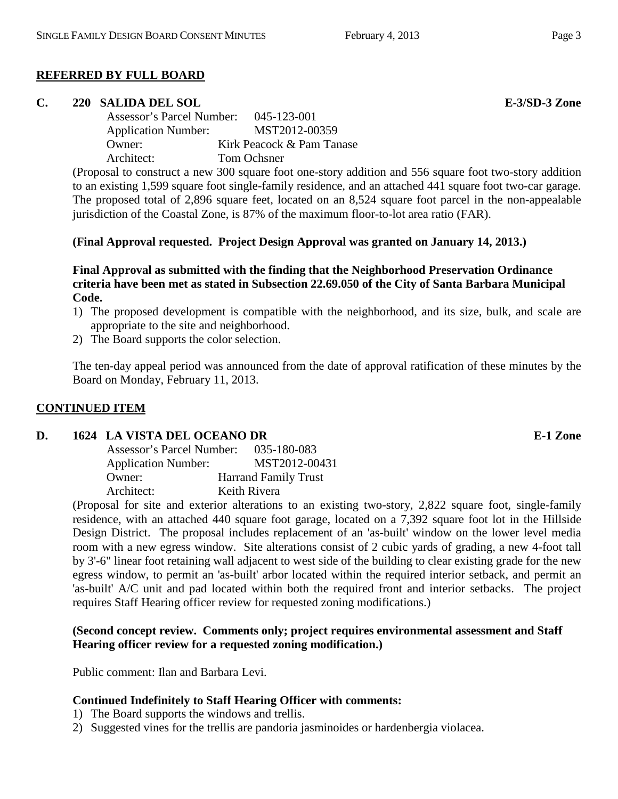# **REFERRED BY FULL BOARD**

# **C. 220 SALIDA DEL SOL E-3/SD-3 Zone**

Assessor's Parcel Number: 045-123-001 Application Number: MST2012-00359 Owner: Kirk Peacock & Pam Tanase Architect: Tom Ochsner

(Proposal to construct a new 300 square foot one-story addition and 556 square foot two-story addition to an existing 1,599 square foot single-family residence, and an attached 441 square foot two-car garage. The proposed total of 2,896 square feet, located on an 8,524 square foot parcel in the non-appealable jurisdiction of the Coastal Zone, is 87% of the maximum floor-to-lot area ratio (FAR).

# **(Final Approval requested. Project Design Approval was granted on January 14, 2013.)**

**Final Approval as submitted with the finding that the Neighborhood Preservation Ordinance criteria have been met as stated in Subsection 22.69.050 of the City of Santa Barbara Municipal Code.**

- 1) The proposed development is compatible with the neighborhood, and its size, bulk, and scale are appropriate to the site and neighborhood.
- 2) The Board supports the color selection.

The ten-day appeal period was announced from the date of approval ratification of these minutes by the Board on Monday, February 11, 2013.

# **CONTINUED ITEM**

# **D. 1624 LA VISTA DEL OCEANO DR E-1 Zone**

Assessor's Parcel Number: 035-180-083 Application Number: MST2012-00431 Owner: Harrand Family Trust Architect: Keith Rivera

(Proposal for site and exterior alterations to an existing two-story, 2,822 square foot, single-family residence, with an attached 440 square foot garage, located on a 7,392 square foot lot in the Hillside Design District. The proposal includes replacement of an 'as-built' window on the lower level media room with a new egress window. Site alterations consist of 2 cubic yards of grading, a new 4-foot tall by 3'-6" linear foot retaining wall adjacent to west side of the building to clear existing grade for the new egress window, to permit an 'as-built' arbor located within the required interior setback, and permit an 'as-built' A/C unit and pad located within both the required front and interior setbacks. The project requires Staff Hearing officer review for requested zoning modifications.)

## **(Second concept review. Comments only; project requires environmental assessment and Staff Hearing officer review for a requested zoning modification.)**

Public comment: Ilan and Barbara Levi.

# **Continued Indefinitely to Staff Hearing Officer with comments:**

- 1) The Board supports the windows and trellis.
- 2) Suggested vines for the trellis are pandoria jasminoides or hardenbergia violacea.